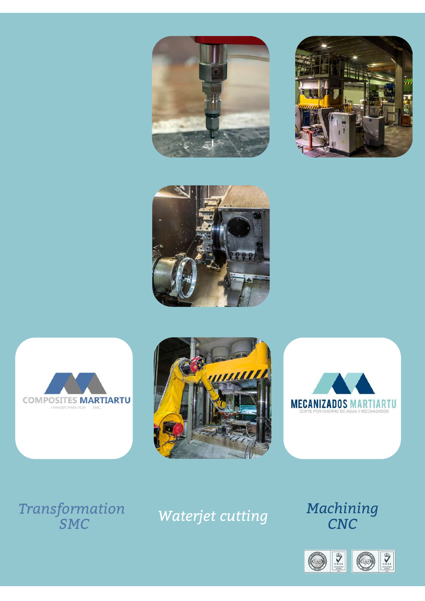











## *r*<sub>an</sub>*sformation S M C*

## *Waterjet cutting*

*M a c h i n i n g CN C*

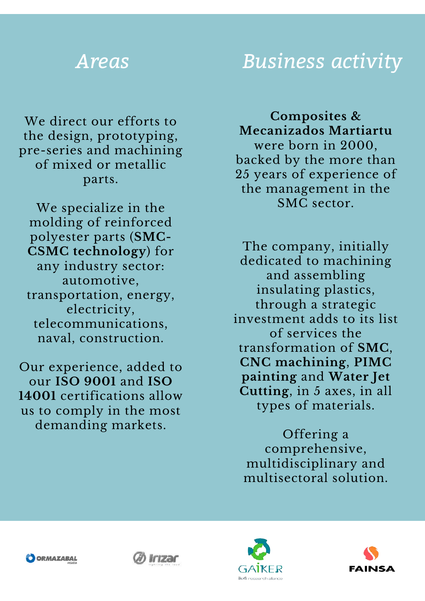## *Areas*

We direct our efforts to the design, prototyping, pre-series and machining of mixed or metallic parts.

We specialize in the molding of reinforced polyester parts (**SMC-CSMC technology**) for any industry sector: automotive, transportation, energy, electricity, telecommunications, naval, construction.

Our experience, added to our **ISO 9001** and **ISO 14001** certifications allow us to comply in the most demanding markets.

## *Business activity*

**Composites & Mecanizados Martiartu** were born in 2000, backed by the more than 25 years of experience of the management in the SMC sector.

The company, initially dedicated to machining and assembling insulating plastics, through a strategic investment adds to its list of services the transformation of **SMC**, **CNC machining**, **PIMC painting** and **Water Jet Cutting**, in 5 axes, in all types of materials.

Offering a comprehensive, multidisciplinary and multisectoral solution.







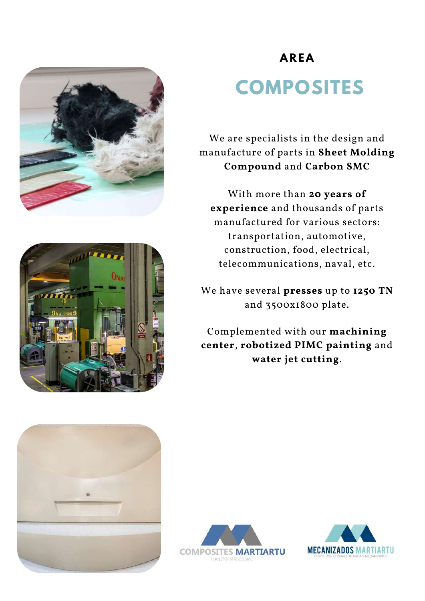



# **COMPOSITES**

We are specialists in the design and manufacture of parts in **Sheet Molding Compound** and **Carbon SMC**

With more than **20 years of experience** and thousands of parts manufactured for various sectors: transportation, automotive, construction, food, electrical, telecommunications, naval, etc.

We have several **presses** up to **1250 TN** and 3500x1800 plate.

Complemented with our **machining center**, **robotized PIMC painting** and **water jet cutting**.





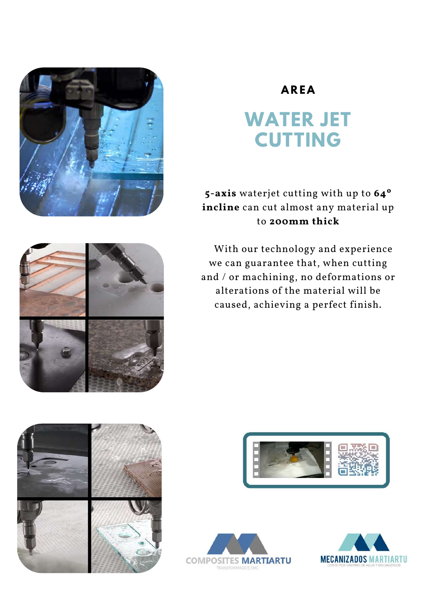## **WATER JET CUTTING**

**5-axis** waterjet cutting with up to **64º incline** can cut almost any material up to **200mm thick**

With our technology and experience we can guarantee that, when cutting and / or machining, no deformations or alterations of the material will be caused, achieving a perfect finish.











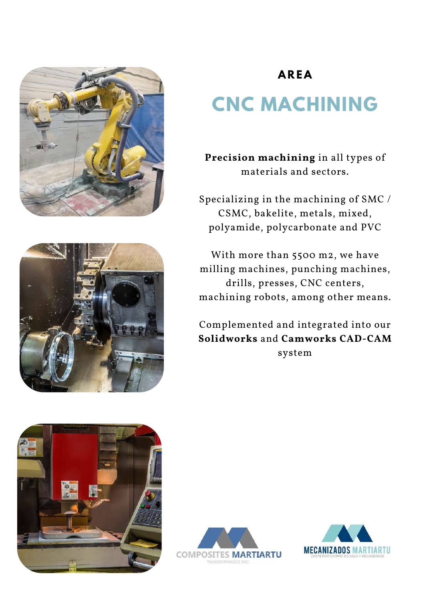



# **CNC MACHINING**

**Precision machining** in all types of materials and sectors.

Specializing in the machining of SMC / CSMC, bakelite, metals, mixed, polyamide, polycarbonate and PVC

With more than 5500 m2, we have milling machines, punching machines, drills, presses, CNC centers, machining robots, among other means.

Complemented and integrated into our **Solidworks** and **Camworks CAD-CAM** system





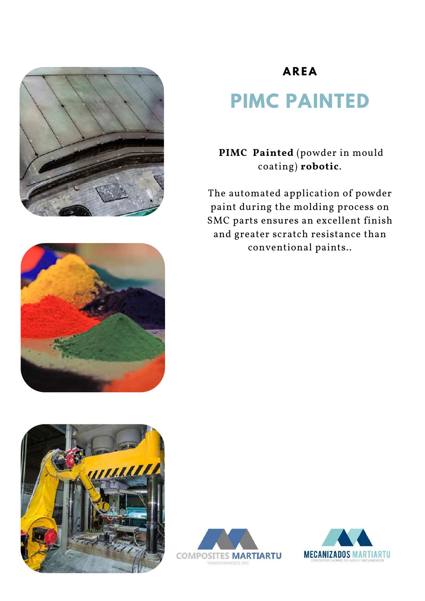







# **PIMC PAINTED**

**PIMC Painted** (powder in mould coating) **robotic**.

The automated application of powder paint during the molding process on SMC parts ensures an excellent finish and greater scratch resistance than conventional paints..



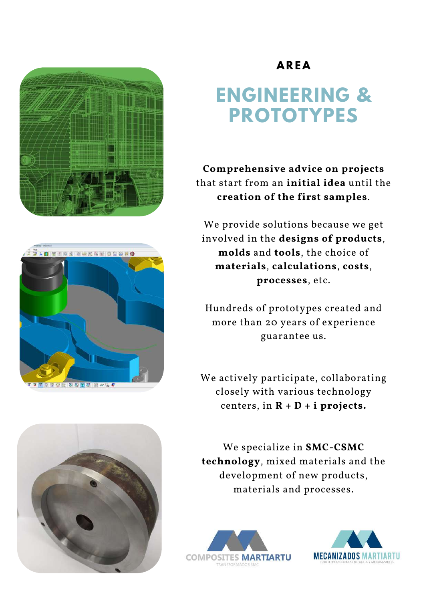





## **ENGINEERING & PROTOTYPES**

**Comprehensive advice on projects** that start from an **initial idea** until the **creation of the first samples**.

We provide solutions because we get involved in the **designs of products**, **molds** and **tools**, the choice of **materials**, **calculations**, **costs**, **processes**, etc.

Hundreds of prototypes created and more than 20 years of experience guarantee us.

We actively participate, collaborating closely with various technology centers, in  $R + D + i$  projects.

We specialize in **SMC-CSMC technology**, mixed materials and the development of new products, materials and processes.